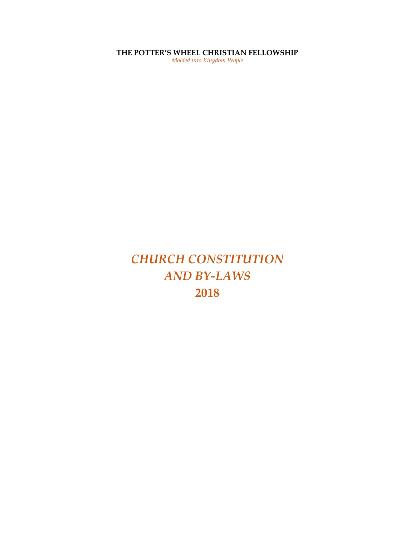**THE POTTER'S WHEEL CHRISTIAN FELLOWSHIP**

*Molded into Kingdom People*

# *CHURCH CONSTITUTION AND BY-LAWS* **2018**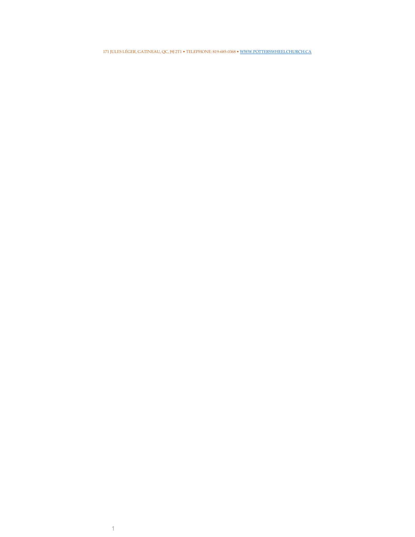JULES LÉGER, GATINEAU, QC, J9J 2T1 • TELEPHONE: 819-685-0368 • WWW.POTTERSWHEELCHURCH.CA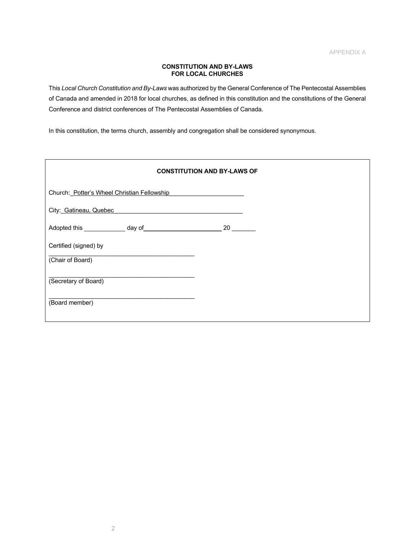## **CONSTITUTION AND BY-LAWS FOR LOCAL CHURCHES**

This *Local Church Constitution and By-Laws* was authorized by the General Conference of The Pentecostal Assemblies of Canada and amended in 2018 for local churches, as defined in this constitution and the constitutions of the General Conference and district conferences of The Pentecostal Assemblies of Canada.

In this constitution, the terms church, assembly and congregation shall be considered synonymous.

| <b>CONSTITUTION AND BY-LAWS OF</b>          |  |  |
|---------------------------------------------|--|--|
| Church: Potter's Wheel Christian Fellowship |  |  |
| City: Gatineau, Quebec                      |  |  |
|                                             |  |  |
| Certified (signed) by                       |  |  |
| (Chair of Board)                            |  |  |
| (Secretary of Board)                        |  |  |
| (Board member)                              |  |  |
|                                             |  |  |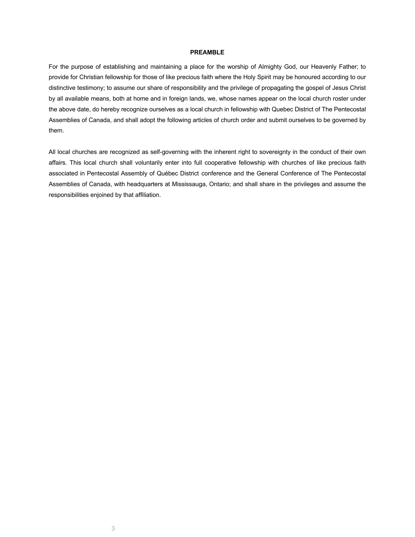## **PREAMBLE**

For the purpose of establishing and maintaining a place for the worship of Almighty God, our Heavenly Father; to provide for Christian fellowship for those of like precious faith where the Holy Spirit may be honoured according to our distinctive testimony; to assume our share of responsibility and the privilege of propagating the gospel of Jesus Christ by all available means, both at home and in foreign lands, we, whose names appear on the local church roster under the above date, do hereby recognize ourselves as a local church in fellowship with Quebec District of The Pentecostal Assemblies of Canada, and shall adopt the following articles of church order and submit ourselves to be governed by them.

All local churches are recognized as self-governing with the inherent right to sovereignty in the conduct of their own affairs. This local church shall voluntarily enter into full cooperative fellowship with churches of like precious faith associated in Pentecostal Assembly of Québec District conference and the General Conference of The Pentecostal Assemblies of Canada, with headquarters at Mississauga, Ontario; and shall share in the privileges and assume the responsibilities enjoined by that affiliation.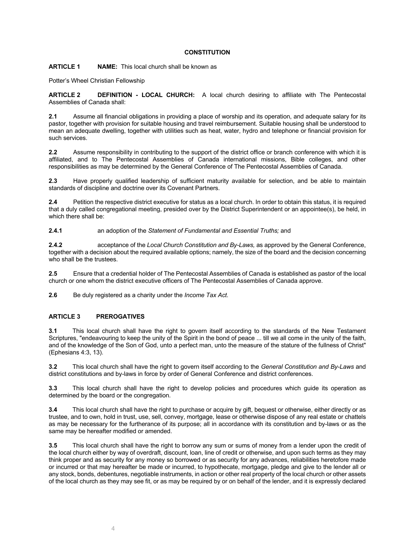# **CONSTITUTION**

# **ARTICLE 1 NAME:** This local church shall be known as

Potter's Wheel Christian Fellowship

**ARTICLE 2 DEFINITION - LOCAL CHURCH:** A local church desiring to affiliate with The Pentecostal Assemblies of Canada shall:

**2.1** Assume all financial obligations in providing a place of worship and its operation, and adequate salary for its pastor, together with provision for suitable housing and travel reimbursement. Suitable housing shall be understood to mean an adequate dwelling, together with utilities such as heat, water, hydro and telephone or financial provision for such services.

**2.2** Assume responsibility in contributing to the support of the district office or branch conference with which it is affiliated, and to The Pentecostal Assemblies of Canada international missions, Bible colleges, and other responsibilities as may be determined by the General Conference of The Pentecostal Assemblies of Canada.

**2.3** Have properly qualified leadership of sufficient maturity available for selection, and be able to maintain standards of discipline and doctrine over its Covenant Partners.

**2.4** Petition the respective district executive for status as a local church. In order to obtain this status, it is required that a duly called congregational meeting, presided over by the District Superintendent or an appointee(s), be held, in which there shall be:

**2.4.1** an adoption of the *Statement of Fundamental and Essential Truths;* and

**2.4.2** acceptance of the *Local Church Constitution and By-Laws,* as approved by the General Conference, together with a decision about the required available options; namely, the size of the board and the decision concerning who shall be the trustees.

**2.5** Ensure that a credential holder of The Pentecostal Assemblies of Canada is established as pastor of the local church or one whom the district executive officers of The Pentecostal Assemblies of Canada approve.

**2.6** Be duly registered as a charity under the *Income Tax Act*.

# **ARTICLE 3 PREROGATIVES**

**3.1** This local church shall have the right to govern itself according to the standards of the New Testament Scriptures, "endeavouring to keep the unity of the Spirit in the bond of peace ... till we all come in the unity of the faith, and of the knowledge of the Son of God, unto a perfect man, unto the measure of the stature of the fullness of Christ" (Ephesians 4:3, 13).

**3.2** This local church shall have the right to govern itself according to the *General Constitution and By-Laws* and district constitutions and by-laws in force by order of General Conference and district conferences.

**3.3** This local church shall have the right to develop policies and procedures which guide its operation as determined by the board or the congregation.

**3.4** This local church shall have the right to purchase or acquire by gift, bequest or otherwise, either directly or as trustee, and to own, hold in trust, use, sell, convey, mortgage, lease or otherwise dispose of any real estate or chattels as may be necessary for the furtherance of its purpose; all in accordance with its constitution and by-laws or as the same may be hereafter modified or amended.

**3.5** This local church shall have the right to borrow any sum or sums of money from a lender upon the credit of the local church either by way of overdraft, discount, loan, line of credit or otherwise, and upon such terms as they may think proper and as security for any money so borrowed or as security for any advances, reliabilities heretofore made or incurred or that may hereafter be made or incurred, to hypothecate, mortgage, pledge and give to the lender all or any stock, bonds, debentures, negotiable instruments, in action or other real property of the local church or other assets of the local church as they may see fit, or as may be required by or on behalf of the lender, and it is expressly declared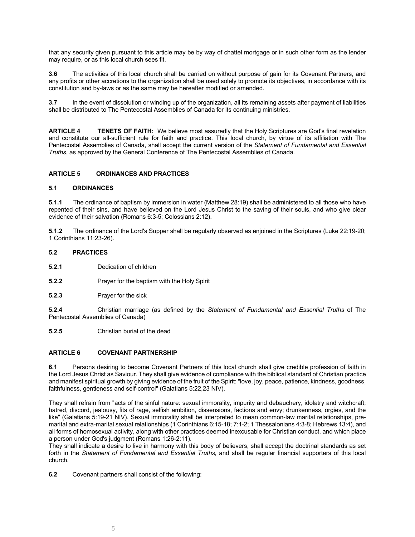that any security given pursuant to this article may be by way of chattel mortgage or in such other form as the lender may require, or as this local church sees fit.

**3.6** The activities of this local church shall be carried on without purpose of gain for its Covenant Partners, and any profits or other accretions to the organization shall be used solely to promote its objectives, in accordance with its constitution and by-laws or as the same may be hereafter modified or amended.

**3.7** In the event of dissolution or winding up of the organization, all its remaining assets after payment of liabilities shall be distributed to The Pentecostal Assemblies of Canada for its continuing ministries.

**ARTICLE 4 TENETS OF FAITH:** We believe most assuredly that the Holy Scriptures are God's final revelation and constitute our all-sufficient rule for faith and practice. This local church, by virtue of its affiliation with The Pentecostal Assemblies of Canada, shall accept the current version of the *Statement of Fundamental and Essential Truths*, as approved by the General Conference of The Pentecostal Assemblies of Canada.

# **ARTICLE 5 ORDINANCES AND PRACTICES**

# **5.1 ORDINANCES**

**5.1.1** The ordinance of baptism by immersion in water (Matthew 28:19) shall be administered to all those who have repented of their sins, and have believed on the Lord Jesus Christ to the saving of their souls, and who give clear evidence of their salvation (Romans 6:3-5; Colossians 2:12).

**5.1.2** The ordinance of the Lord's Supper shall be regularly observed as enjoined in the Scriptures (Luke 22:19-20; 1 Corinthians 11:23-26).

#### **5.2 PRACTICES**

- **5.2.1** Dedication of children
- **5.2.2** Prayer for the baptism with the Holy Spirit
- **5.2.3** Prayer for the sick

**5.2.4** Christian marriage (as defined by the *Statement of Fundamental and Essential Truths* of The Pentecostal Assemblies of Canada)

**5.2.5** Christian burial of the dead

# **ARTICLE 6 COVENANT PARTNERSHIP**

**6.1** Persons desiring to become Covenant Partners of this local church shall give credible profession of faith in the Lord Jesus Christ as Saviour. They shall give evidence of compliance with the biblical standard of Christian practice and manifest spiritual growth by giving evidence of the fruit of the Spirit: "love, joy, peace, patience, kindness, goodness, faithfulness, gentleness and self-control" (Galatians 5:22,23 NIV).

They shall refrain from "acts of the sinful nature: sexual immorality, impurity and debauchery, idolatry and witchcraft; hatred, discord, jealousy, fits of rage, selfish ambition, dissensions, factions and envy; drunkenness, orgies, and the like" (Galatians 5:19-21 NIV). Sexual immorality shall be interpreted to mean common-law marital relationships, premarital and extra-marital sexual relationships (1 Corinthians 6:15-18; 7:1-2; 1 Thessalonians 4:3-8; Hebrews 13:4), and all forms of homosexual activity, along with other practices deemed inexcusable for Christian conduct, and which place a person under God's judgment (Romans 1:26-2:11).

They shall indicate a desire to live in harmony with this body of believers, shall accept the doctrinal standards as set forth in the *Statement of Fundamental and Essential Truths*, and shall be regular financial supporters of this local church.

**6.2** Covenant partners shall consist of the following: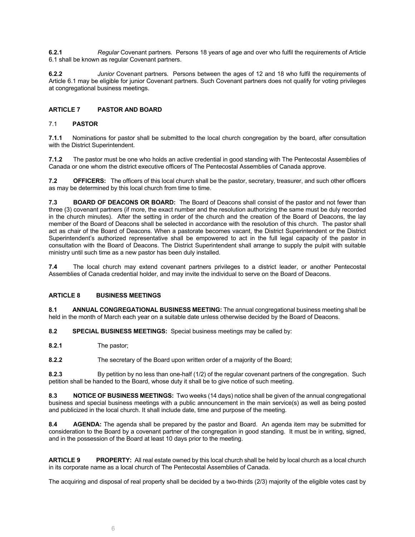**6.2.1** *Regular* Covenant partners*.* Persons 18 years of age and over who fulfil the requirements of Article 6.1 shall be known as regular Covenant partners.

**6.2.2** *Junior* Covenant partners*.* Persons between the ages of 12 and 18 who fulfil the requirements of Article 6.1 may be eligible for junior Covenant partners. Such Covenant partners does not qualify for voting privileges at congregational business meetings.

# **ARTICLE 7 PASTOR AND BOARD**

# 7.1 **PASTOR**

**7.1.1** Nominations for pastor shall be submitted to the local church congregation by the board, after consultation with the District Superintendent.

**7.1.2** The pastor must be one who holds an active credential in good standing with The Pentecostal Assemblies of Canada or one whom the district executive officers of The Pentecostal Assemblies of Canada approve.

**7.2 OFFICERS:** The officers of this local church shall be the pastor, secretary, treasurer, and such other officers as may be determined by this local church from time to time.

**7.3 BOARD OF DEACONS OR BOARD:** The Board of Deacons shall consist of the pastor and not fewer than three (3) covenant partners (if more, the exact number and the resolution authorizing the same must be duly recorded in the church minutes). After the setting in order of the church and the creation of the Board of Deacons, the lay member of the Board of Deacons shall be selected in accordance with the resolution of this church. The pastor shall act as chair of the Board of Deacons. When a pastorate becomes vacant, the District Superintendent or the District Superintendent's authorized representative shall be empowered to act in the full legal capacity of the pastor in consultation with the Board of Deacons. The District Superintendent shall arrange to supply the pulpit with suitable ministry until such time as a new pastor has been duly installed.

**7.4** The local church may extend covenant partners privileges to a district leader, or another Pentecostal Assemblies of Canada credential holder, and may invite the individual to serve on the Board of Deacons.

# **ARTICLE 8 BUSINESS MEETINGS**

**8.1 ANNUAL CONGREGATIONAL BUSINESS MEETING:** The annual congregational business meeting shall be held in the month of March each year on a suitable date unless otherwise decided by the Board of Deacons.

**8.2 SPECIAL BUSINESS MEETINGS:** Special business meetings may be called by:

**8.2.1** The pastor;

**8.2.2** The secretary of the Board upon written order of a majority of the Board;

**8.2.3** By petition by no less than one-half (1/2) of the regular covenant partners of the congregation. Such petition shall be handed to the Board, whose duty it shall be to give notice of such meeting.

**8.3 NOTICE OF BUSINESS MEETINGS:** Two weeks (14 days) notice shall be given of the annual congregational business and special business meetings with a public announcement in the main service(s) as well as being posted and publicized in the local church. It shall include date, time and purpose of the meeting.

**8.4 AGENDA:** The agenda shall be prepared by the pastor and Board. An agenda item may be submitted for consideration to the Board by a covenant partner of the congregation in good standing. It must be in writing, signed, and in the possession of the Board at least 10 days prior to the meeting.

**ARTICLE 9 PROPERTY:** All real estate owned by this local church shall be held by local church as a local church in its corporate name as a local church of The Pentecostal Assemblies of Canada.

The acquiring and disposal of real property shall be decided by a two-thirds (2/3) majority of the eligible votes cast by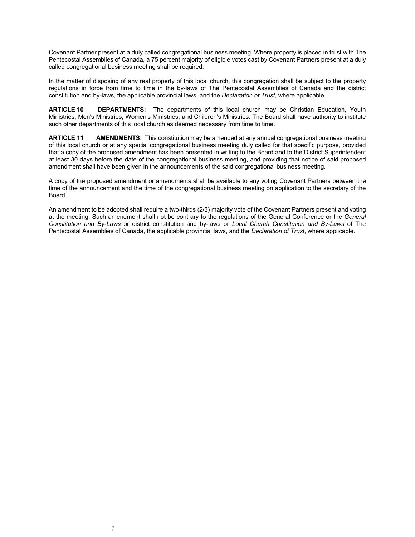Covenant Partner present at a duly called congregational business meeting. Where property is placed in trust with The Pentecostal Assemblies of Canada, a 75 percent majority of eligible votes cast by Covenant Partners present at a duly called congregational business meeting shall be required.

In the matter of disposing of any real property of this local church, this congregation shall be subject to the property regulations in force from time to time in the by-laws of The Pentecostal Assemblies of Canada and the district constitution and by-laws, the applicable provincial laws, and the *Declaration of Trust*, where applicable.

**ARTICLE 10 DEPARTMENTS:** The departments of this local church may be Christian Education, Youth Ministries, Men's Ministries, Women's Ministries, and Children's Ministries. The Board shall have authority to institute such other departments of this local church as deemed necessary from time to time.

**ARTICLE 11 AMENDMENTS:** This constitution may be amended at any annual congregational business meeting of this local church or at any special congregational business meeting duly called for that specific purpose, provided that a copy of the proposed amendment has been presented in writing to the Board and to the District Superintendent at least 30 days before the date of the congregational business meeting, and providing that notice of said proposed amendment shall have been given in the announcements of the said congregational business meeting.

A copy of the proposed amendment or amendments shall be available to any voting Covenant Partners between the time of the announcement and the time of the congregational business meeting on application to the secretary of the Board.

An amendment to be adopted shall require a two-thirds (2/3) majority vote of the Covenant Partners present and voting at the meeting. Such amendment shall not be contrary to the regulations of the General Conference or the *General Constitution and By-Laws* or district constitution and by-laws or *Local Church Constitution and By-Laws* of The Pentecostal Assemblies of Canada, the applicable provincial laws, and the *Declaration of Trust*, where applicable.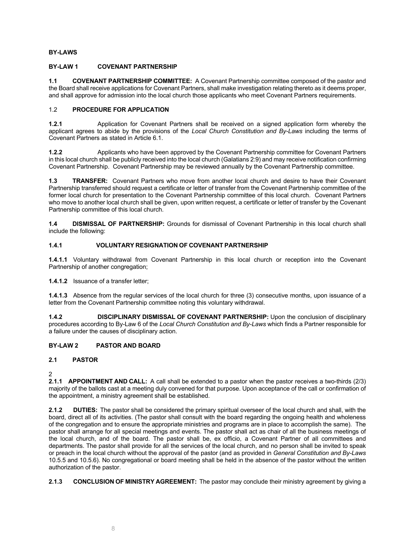# **BY-LAWS**

# **BY-LAW 1 COVENANT PARTNERSHIP**

**1.1 COVENANT PARTNERSHIP COMMITTEE:** A Covenant Partnership committee composed of the pastor and the Board shall receive applications for Covenant Partners, shall make investigation relating thereto as it deems proper, and shall approve for admission into the local church those applicants who meet Covenant Partners requirements.

# 1.2 **PROCEDURE FOR APPLICATION**

**1.2.1** Application for Covenant Partners shall be received on a signed application form whereby the applicant agrees to abide by the provisions of the *Local Church Constitution and By-Laws* including the terms of Covenant Partners as stated in Article 6.1.

**1.2.2** Applicants who have been approved by the Covenant Partnership committee for Covenant Partners in this local church shall be publicly received into the local church (Galatians 2:9) and may receive notification confirming Covenant Partnership. Covenant Partnership may be reviewed annually by the Covenant Partnership committee.

**1.3 TRANSFER:** Covenant Partners who move from another local church and desire to have their Covenant Partnership transferred should request a certificate or letter of transfer from the Covenant Partnership committee of the former local church for presentation to the Covenant Partnership committee of this local church. Covenant Partners who move to another local church shall be given, upon written request, a certificate or letter of transfer by the Covenant Partnership committee of this local church.

**1.4 DISMISSAL OF PARTNERSHIP:** Grounds for dismissal of Covenant Partnership in this local church shall include the following:

# **1.4.1 VOLUNTARY RESIGNATION OF COVENANT PARTNERSHIP**

**1.4.1.1** Voluntary withdrawal from Covenant Partnership in this local church or reception into the Covenant Partnership of another congregation;

**1.4.1.2** Issuance of a transfer letter;

**1.4.1.3** Absence from the regular services of the local church for three (3) consecutive months, upon issuance of a letter from the Covenant Partnership committee noting this voluntary withdrawal.

**1.4.2 DISCIPLINARY DISMISSAL OF COVENANT PARTNERSHIP:** Upon the conclusion of disciplinary procedures according to By-Law 6 of the *Local Church Constitution and By-Laws* which finds a Partner responsible for a failure under the causes of disciplinary action.

# **BY-LAW 2 PASTOR AND BOARD**

# **2.1 PASTOR**

2

**2.1.1 APPOINTMENT AND CALL:** A call shall be extended to a pastor when the pastor receives a two-thirds (2/3) majority of the ballots cast at a meeting duly convened for that purpose. Upon acceptance of the call or confirmation of the appointment, a ministry agreement shall be established.

**2.1.2 DUTIES:** The pastor shall be considered the primary spiritual overseer of the local church and shall, with the board, direct all of its activities. (The pastor shall consult with the board regarding the ongoing health and wholeness of the congregation and to ensure the appropriate ministries and programs are in place to accomplish the same). The pastor shall arrange for all special meetings and events. The pastor shall act as chair of all the business meetings of the local church, and of the board. The pastor shall be, ex officio, a Covenant Partner of all committees and departments. The pastor shall provide for all the services of the local church, and no person shall be invited to speak or preach in the local church without the approval of the pastor (and as provided in *General Constitution and By-Laws* 10.5.5 and 10.5.6). No congregational or board meeting shall be held in the absence of the pastor without the written authorization of the pastor.

**2.1.3 CONCLUSION OF MINISTRY AGREEMENT:** The pastor may conclude their ministry agreement by giving a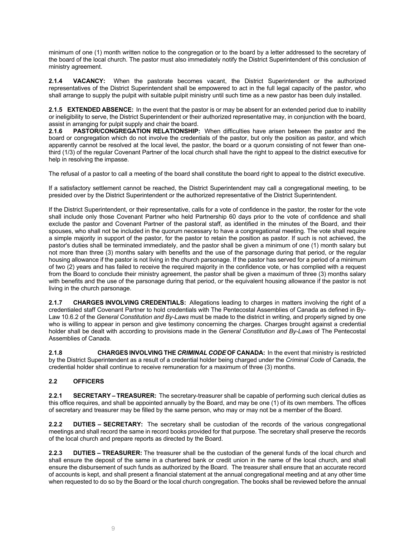minimum of one (1) month written notice to the congregation or to the board by a letter addressed to the secretary of the board of the local church. The pastor must also immediately notify the District Superintendent of this conclusion of ministry agreement.

**2.1.4 VACANCY:** When the pastorate becomes vacant, the District Superintendent or the authorized representatives of the District Superintendent shall be empowered to act in the full legal capacity of the pastor, who shall arrange to supply the pulpit with suitable pulpit ministry until such time as a new pastor has been duly installed.

**2.1.5 EXTENDED ABSENCE:** In the event that the pastor is or may be absent for an extended period due to inability or ineligibility to serve, the District Superintendent or their authorized representative may, in conjunction with the board, assist in arranging for pulpit supply and chair the board.

**2.1.6 PASTOR/CONGREGATION RELATIONSHIP:** When difficulties have arisen between the pastor and the board or congregation which do not involve the credentials of the pastor, but only the position as pastor, and which apparently cannot be resolved at the local level, the pastor, the board or a quorum consisting of not fewer than onethird (1/3) of the regular Covenant Partner of the local church shall have the right to appeal to the district executive for help in resolving the impasse.

The refusal of a pastor to call a meeting of the board shall constitute the board right to appeal to the district executive.

If a satisfactory settlement cannot be reached, the District Superintendent may call a congregational meeting, to be presided over by the District Superintendent or the authorized representative of the District Superintendent.

If the District Superintendent, or their representative, calls for a vote of confidence in the pastor, the roster for the vote shall include only those Covenant Partner who held Partnership 60 days prior to the vote of confidence and shall exclude the pastor and Covenant Partner of the pastoral staff, as identified in the minutes of the Board, and their spouses, who shall not be included in the quorum necessary to have a congregational meeting. The vote shall require a simple majority in support of the pastor, for the pastor to retain the position as pastor. If such is not achieved, the pastor's duties shall be terminated immediately, and the pastor shall be given a minimum of one (1) month salary but not more than three (3) months salary with benefits and the use of the parsonage during that period, or the regular housing allowance if the pastor is not living in the church parsonage. If the pastor has served for a period of a minimum of two (2) years and has failed to receive the required majority in the confidence vote, or has complied with a request from the Board to conclude their ministry agreement, the pastor shall be given a maximum of three (3) months salary with benefits and the use of the parsonage during that period, or the equivalent housing allowance if the pastor is not living in the church parsonage.

**2.1.7 CHARGES INVOLVING CREDENTIALS:** Allegations leading to charges in matters involving the right of a credentialed staff Covenant Partner to hold credentials with The Pentecostal Assemblies of Canada as defined in By-Law 10.6.2 of the *General Constitution and By-Laws* must be made to the district in writing, and properly signed by one who is willing to appear in person and give testimony concerning the charges. Charges brought against a credential holder shall be dealt with according to provisions made in the *General Constitution and By-Laws* of The Pentecostal Assemblies of Canada.

**2.1.8 CHARGES INVOLVING THE** *CRIMINAL CODE* **OF CANADA:** In the event that ministry is restricted by the District Superintendent as a result of a credential holder being charged under the *Criminal Code* of Canada, the credential holder shall continue to receive remuneration for a maximum of three (3) months.

# **2.2 OFFICERS**

**2.2.1 SECRETARY – TREASURER:** The secretary-treasurer shall be capable of performing such clerical duties as this office requires, and shall be appointed annually by the Board, and may be one (1) of its own members. The offices of secretary and treasurer may be filled by the same person, who may or may not be a member of the Board.

**2.2.2 DUTIES – SECRETARY:** The secretary shall be custodian of the records of the various congregational meetings and shall record the same in record books provided for that purpose. The secretary shall preserve the records of the local church and prepare reports as directed by the Board.

**2.2.3 DUTIES – TREASURER:** The treasurer shall be the custodian of the general funds of the local church and shall ensure the deposit of the same in a chartered bank or credit union in the name of the local church, and shall ensure the disbursement of such funds as authorized by the Board. The treasurer shall ensure that an accurate record of accounts is kept, and shall present a financial statement at the annual congregational meeting and at any other time when requested to do so by the Board or the local church congregation. The books shall be reviewed before the annual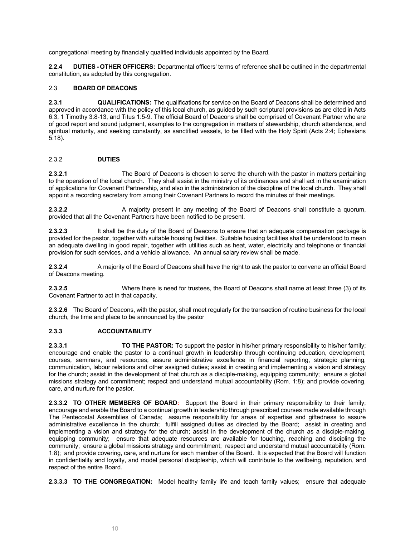congregational meeting by financially qualified individuals appointed by the Board.

**2.2.4 DUTIES - OTHER OFFICERS:** Departmental officers' terms of reference shall be outlined in the departmental constitution, as adopted by this congregation.

# 2.3 **BOARD OF DEACONS**

**2.3.1 QUALIFICATIONS:** The qualifications for service on the Board of Deacons shall be determined and approved in accordance with the policy of this local church, as guided by such scriptural provisions as are cited in Acts 6:3, 1 Timothy 3:8-13, and Titus 1:5-9. The official Board of Deacons shall be comprised of Covenant Partner who are of good report and sound judgment, examples to the congregation in matters of stewardship, church attendance, and spiritual maturity, and seeking constantly, as sanctified vessels, to be filled with the Holy Spirit (Acts 2:4; Ephesians 5:18).

# 2.3.2 **DUTIES**

**2.3.2.1** The Board of Deacons is chosen to serve the church with the pastor in matters pertaining to the operation of the local church. They shall assist in the ministry of its ordinances and shall act in the examination of applications for Covenant Partnership, and also in the administration of the discipline of the local church. They shall appoint a recording secretary from among their Covenant Partners to record the minutes of their meetings.

**2.3.2.2** A majority present in any meeting of the Board of Deacons shall constitute a quorum, provided that all the Covenant Partners have been notified to be present.

**2.3.2.3** It shall be the duty of the Board of Deacons to ensure that an adequate compensation package is provided for the pastor, together with suitable housing facilities. Suitable housing facilities shall be understood to mean an adequate dwelling in good repair, together with utilities such as heat, water, electricity and telephone or financial provision for such services, and a vehicle allowance. An annual salary review shall be made.

**2.3.2.4** A majority of the Board of Deacons shall have the right to ask the pastor to convene an official Board of Deacons meeting.

**2.3.2.5** Where there is need for trustees, the Board of Deacons shall name at least three (3) of its Covenant Partner to act in that capacity.

**2.3.2.6** The Board of Deacons, with the pastor, shall meet regularly for the transaction of routine business for the local church, the time and place to be announced by the pastor

# **2.3.3 ACCOUNTABILITY**

**2.3.3.1 TO THE PASTOR:** To support the pastor in his/her primary responsibility to his/her family; encourage and enable the pastor to a continual growth in leadership through continuing education, development, courses, seminars, and resources; assure administrative excellence in financial reporting, strategic planning, communication, labour relations and other assigned duties; assist in creating and implementing a vision and strategy for the church; assist in the development of that church as a disciple-making, equipping community; ensure a global missions strategy and commitment; respect and understand mutual accountability (Rom. 1:8); and provide covering, care, and nurture for the pastor.

**2.3.3.2 TO OTHER MEMBERS OF BOARD:** Support the Board in their primary responsibility to their family; encourage and enable the Board to a continual growth in leadership through prescribed courses made available through The Pentecostal Assemblies of Canada; assume responsibility for areas of expertise and giftedness to assure administrative excellence in the church; fulfill assigned duties as directed by the Board; assist in creating and implementing a vision and strategy for the church; assist in the development of the church as a disciple-making, equipping community; ensure that adequate resources are available for touching, reaching and discipling the community; ensure a global missions strategy and commitment; respect and understand mutual accountability (Rom. 1:8); and provide covering, care, and nurture for each member of the Board. It is expected that the Board will function in confidentiality and loyalty, and model personal discipleship, which will contribute to the wellbeing, reputation, and respect of the entire Board.

**2.3.3.3 TO THE CONGREGATION:** Model healthy family life and teach family values; ensure that adequate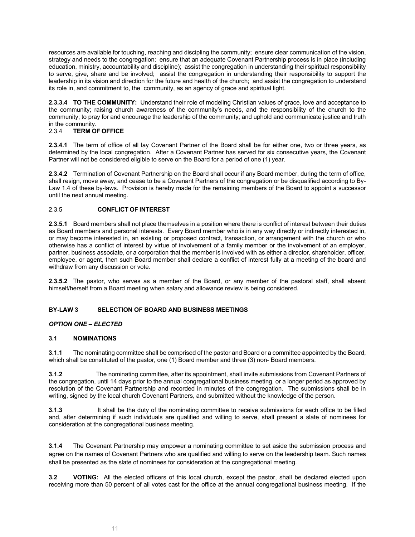resources are available for touching, reaching and discipling the community; ensure clear communication of the vision, strategy and needs to the congregation; ensure that an adequate Covenant Partnership process is in place (including education, ministry, accountability and discipline); assist the congregation in understanding their spiritual responsibility to serve, give, share and be involved; assist the congregation in understanding their responsibility to support the leadership in its vision and direction for the future and health of the church; and assist the congregation to understand its role in, and commitment to, the community, as an agency of grace and spiritual light.

**2.3.3.4 TO THE COMMUNITY:** Understand their role of modeling Christian values of grace, love and acceptance to the community; raising church awareness of the community's needs, and the responsibility of the church to the community; to pray for and encourage the leadership of the community; and uphold and communicate justice and truth

#### in the community.<br>2.3.4 **TERM OF** 2.3.4 **TERM OF OFFICE**

**2.3.4.1** The term of office of all lay Covenant Partner of the Board shall be for either one, two or three years, as determined by the local congregation. After a Covenant Partner has served for six consecutive years, the Covenant Partner will not be considered eligible to serve on the Board for a period of one (1) year.

**2.3.4.2** Termination of Covenant Partnership on the Board shall occur if any Board member, during the term of office, shall resign, move away, and cease to be a Covenant Partners of the congregation or be disqualified according to By-Law 1.4 of these by-laws. Provision is hereby made for the remaining members of the Board to appoint a successor until the next annual meeting.

# 2.3.5 **CONFLICT OF INTEREST**

**2.3.5.1** Board members shall not place themselves in a position where there is conflict of interest between their duties as Board members and personal interests. Every Board member who is in any way directly or indirectly interested in, or may become interested in, an existing or proposed contract, transaction, or arrangement with the church or who otherwise has a conflict of interest by virtue of involvement of a family member or the involvement of an employer, partner, business associate, or a corporation that the member is involved with as either a director, shareholder, officer, employee, or agent, then such Board member shall declare a conflict of interest fully at a meeting of the board and withdraw from any discussion or vote.

**2.3.5.2** The pastor, who serves as a member of the Board, or any member of the pastoral staff, shall absent himself/herself from a Board meeting when salary and allowance review is being considered.

# **BY-LAW 3 SELECTION OF BOARD AND BUSINESS MEETINGS**

# *OPTION ONE – ELECTED*

# **3.1 NOMINATIONS**

**3.1.1** The nominating committee shall be comprised of the pastor and Board or a committee appointed by the Board, which shall be constituted of the pastor, one (1) Board member and three (3) non- Board members.

**3.1.2** The nominating committee, after its appointment, shall invite submissions from Covenant Partners of the congregation, until 14 days prior to the annual congregational business meeting, or a longer period as approved by resolution of the Covenant Partnership and recorded in minutes of the congregation. The submissions shall be in writing, signed by the local church Covenant Partners, and submitted without the knowledge of the person.

**3.1.3** It shall be the duty of the nominating committee to receive submissions for each office to be filled and, after determining if such individuals are qualified and willing to serve, shall present a slate of nominees for consideration at the congregational business meeting.

**3.1.4** The Covenant Partnership may empower a nominating committee to set aside the submission process and agree on the names of Covenant Partners who are qualified and willing to serve on the leadership team. Such names shall be presented as the slate of nominees for consideration at the congregational meeting.

**3.2 VOTING:** All the elected officers of this local church, except the pastor, shall be declared elected upon receiving more than 50 percent of all votes cast for the office at the annual congregational business meeting. If the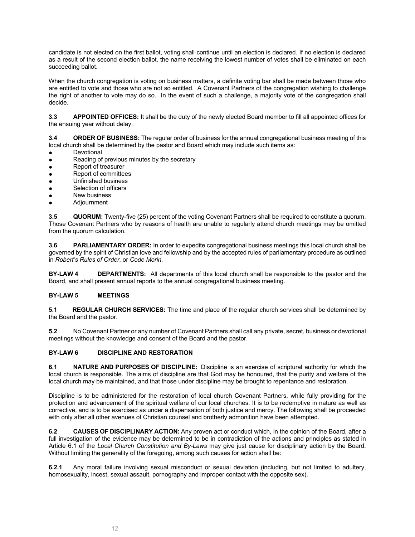candidate is not elected on the first ballot, voting shall continue until an election is declared. If no election is declared as a result of the second election ballot, the name receiving the lowest number of votes shall be eliminated on each succeeding ballot.

When the church congregation is voting on business matters, a definite voting bar shall be made between those who are entitled to vote and those who are not so entitled. A Covenant Partners of the congregation wishing to challenge the right of another to vote may do so. In the event of such a challenge, a majority vote of the congregation shall decide.

**3.3 APPOINTED OFFICES:** It shall be the duty of the newly elected Board member to fill all appointed offices for the ensuing year without delay.

**3.4 ORDER OF BUSINESS:** The regular order of business for the annual congregational business meeting of this local church shall be determined by the pastor and Board which may include such items as:

- Devotional
- Reading of previous minutes by the secretary
- Report of treasurer
- Report of committees
- Unfinished business
- Selection of officers
- **New business**
- **Adjournment**

**3.5 QUORUM:** Twenty-five (25) percent of the voting Covenant Partners shall be required to constitute a quorum. Those Covenant Partners who by reasons of health are unable to regularly attend church meetings may be omitted from the quorum calculation.

**3.6 PARLIAMENTARY ORDER:** In order to expedite congregational business meetings this local church shall be governed by the spirit of Christian love and fellowship and by the accepted rules of parliamentary procedure as outlined in *Robert's Rules of Order*, or *Code Morin*.

**BY-LAW 4 DEPARTMENTS:** All departments of this local church shall be responsible to the pastor and the Board, and shall present annual reports to the annual congregational business meeting.

# **BY-LAW 5 MEETINGS**

**5.1 REGULAR CHURCH SERVICES:** The time and place of the regular church services shall be determined by the Board and the pastor.

**5.2** No Covenant Partner or any number of Covenant Partners shall call any private, secret, business or devotional meetings without the knowledge and consent of the Board and the pastor.

# **BY-LAW 6 DISCIPLINE AND RESTORATION**

**6.1 NATURE AND PURPOSES OF DISCIPLINE:** Discipline is an exercise of scriptural authority for which the local church is responsible. The aims of discipline are that God may be honoured, that the purity and welfare of the local church may be maintained, and that those under discipline may be brought to repentance and restoration.

Discipline is to be administered for the restoration of local church Covenant Partners, while fully providing for the protection and advancement of the spiritual welfare of our local churches. It is to be redemptive in nature as well as corrective, and is to be exercised as under a dispensation of both justice and mercy. The following shall be proceeded with only after all other avenues of Christian counsel and brotherly admonition have been attempted.

**6.2 CAUSES OF DISCIPLINARY ACTION:** Any proven act or conduct which, in the opinion of the Board, after a full investigation of the evidence may be determined to be in contradiction of the actions and principles as stated in Article 6.1 of the *Local Church Constitution and By-Laws* may give just cause for disciplinary action by the Board. Without limiting the generality of the foregoing, among such causes for action shall be:

**6.2.1** Any moral failure involving sexual misconduct or sexual deviation (including, but not limited to adultery, homosexuality, incest, sexual assault, pornography and improper contact with the opposite sex).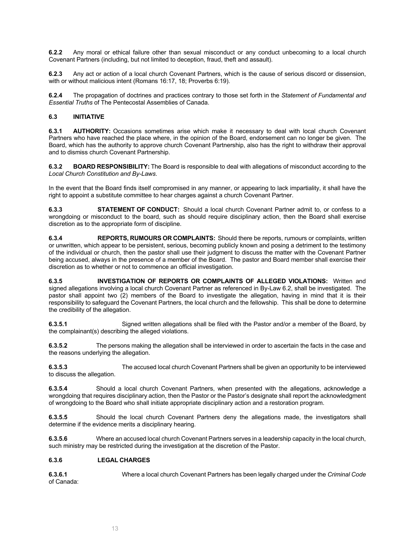**6.2.2** Any moral or ethical failure other than sexual misconduct or any conduct unbecoming to a local church Covenant Partners (including, but not limited to deception, fraud, theft and assault).

**6.2.3** Any act or action of a local church Covenant Partners, which is the cause of serious discord or dissension, with or without malicious intent (Romans 16:17, 18; Proverbs 6:19).

**6.2.4** The propagation of doctrines and practices contrary to those set forth in the *Statement of Fundamental and Essential Truths* of The Pentecostal Assemblies of Canada.

# **6.3 INITIATIVE**

**6.3.1 AUTHORITY:** Occasions sometimes arise which make it necessary to deal with local church Covenant Partners who have reached the place where, in the opinion of the Board, endorsement can no longer be given. The Board, which has the authority to approve church Covenant Partnership, also has the right to withdraw their approval and to dismiss church Covenant Partnership.

**6.3.2 BOARD RESPONSIBILITY:** The Board is responsible to deal with allegations of misconduct according to the *Local Church Constitution and By-Laws*.

In the event that the Board finds itself compromised in any manner, or appearing to lack impartiality, it shall have the right to appoint a substitute committee to hear charges against a church Covenant Partner.

**6.3.3 STATEMENT OF CONDUCT:** Should a local church Covenant Partner admit to, or confess to a wrongdoing or misconduct to the board, such as should require disciplinary action, then the Board shall exercise discretion as to the appropriate form of discipline.

**6.3.4 REPORTS, RUMOURS OR COMPLAINTS:** Should there be reports, rumours or complaints, written or unwritten, which appear to be persistent, serious, becoming publicly known and posing a detriment to the testimony of the individual or church, then the pastor shall use their judgment to discuss the matter with the Covenant Partner being accused, always in the presence of a member of the Board. The pastor and Board member shall exercise their discretion as to whether or not to commence an official investigation.

**6.3.5 INVESTIGATION OF REPORTS OR COMPLAINTS OF ALLEGED VIOLATIONS:** Written and signed allegations involving a local church Covenant Partner as referenced in By-Law 6.2, shall be investigated. The pastor shall appoint two (2) members of the Board to investigate the allegation, having in mind that it is their responsibility to safeguard the Covenant Partners, the local church and the fellowship. This shall be done to determine the credibility of the allegation.

**6.3.5.1** Signed written allegations shall be filed with the Pastor and/or a member of the Board, by the complainant(s) describing the alleged violations.

**6.3.5.2** The persons making the allegation shall be interviewed in order to ascertain the facts in the case and the reasons underlying the allegation.

**6.3.5.3** The accused local church Covenant Partners shall be given an opportunity to be interviewed to discuss the allegation.

**6.3.5.4** Should a local church Covenant Partners, when presented with the allegations, acknowledge a wrongdoing that requires disciplinary action, then the Pastor or the Pastor's designate shall report the acknowledgment of wrongdoing to the Board who shall initiate appropriate disciplinary action and a restoration program.

**6.3.5.5** Should the local church Covenant Partners deny the allegations made, the investigators shall determine if the evidence merits a disciplinary hearing.

**6.3.5.6** Where an accused local church Covenant Partners serves in a leadership capacity in the local church, such ministry may be restricted during the investigation at the discretion of the Pastor.

# **6.3.6 LEGAL CHARGES**

**6.3.6.1** Where a local church Covenant Partners has been legally charged under the *Criminal Code* of Canada: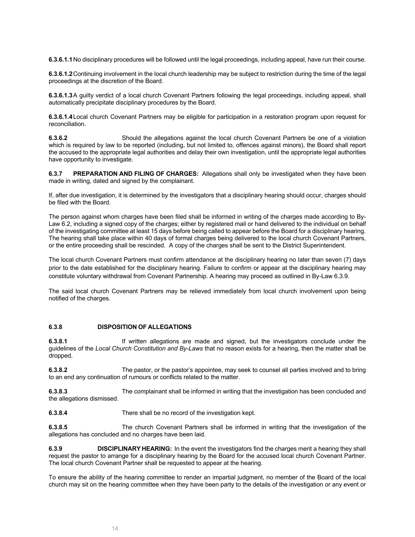**6.3.6.1.1**No disciplinary procedures will be followed until the legal proceedings, including appeal, have run their course.

**6.3.6.1.2**Continuing involvement in the local church leadership may be subject to restriction during the time of the legal proceedings at the discretion of the Board.

**6.3.6.1.3**A guilty verdict of a local church Covenant Partners following the legal proceedings, including appeal, shall automatically precipitate disciplinary procedures by the Board.

**6.3.6.1.4**Local church Covenant Partners may be eligible for participation in a restoration program upon request for reconciliation.

**6.3.6.2** Should the allegations against the local church Covenant Partners be one of a violation which is required by law to be reported (including, but not limited to, offences against minors), the Board shall report the accused to the appropriate legal authorities and delay their own investigation, until the appropriate legal authorities have opportunity to investigate.

**6.3.7 PREPARATION AND FILING OF CHARGES:** Allegations shall only be investigated when they have been made in writing, dated and signed by the complainant.

If, after due investigation, it is determined by the investigators that a disciplinary hearing should occur, charges should be filed with the Board.

The person against whom charges have been filed shall be informed in writing of the charges made according to By-Law 6.2, including a signed copy of the charges; either by registered mail or hand delivered to the individual on behalf of the investigating committee at least 15 days before being called to appear before the Board for a disciplinary hearing. The hearing shall take place within 40 days of formal charges being delivered to the local church Covenant Partners, or the entire proceeding shall be rescinded. A copy of the charges shall be sent to the District Superintendent.

The local church Covenant Partners must confirm attendance at the disciplinary hearing no later than seven (7) days prior to the date established for the disciplinary hearing. Failure to confirm or appear at the disciplinary hearing may constitute voluntary withdrawal from Covenant Partnership. A hearing may proceed as outlined in By-Law 6.3.9.

The said local church Covenant Partners may be relieved immediately from local church involvement upon being notified of the charges.

# **6.3.8 DISPOSITION OF ALLEGATIONS**

**6.3.8.1** If written allegations are made and signed, but the investigators conclude under the guidelines of the *Local Church Constitution and By-Laws* that no reason exists for a hearing, then the matter shall be dropped.

**6.3.8.2** The pastor, or the pastor's appointee, may seek to counsel all parties involved and to bring to an end any continuation of rumours or conflicts related to the matter.

**6.3.8.3** The complainant shall be informed in writing that the investigation has been concluded and the allegations dismissed.

**6.3.8.4** There shall be no record of the investigation kept.

**6.3.8.5** The church Covenant Partners shall be informed in writing that the investigation of the allegations has concluded and no charges have been laid.

**6.3.9 DISCIPLINARY HEARING:** In the event the investigators find the charges merit a hearing they shall request the pastor to arrange for a disciplinary hearing by the Board for the accused local church Covenant Partner. The local church Covenant Partner shall be requested to appear at the hearing.

To ensure the ability of the hearing committee to render an impartial judgment, no member of the Board of the local church may sit on the hearing committee when they have been party to the details of the investigation or any event or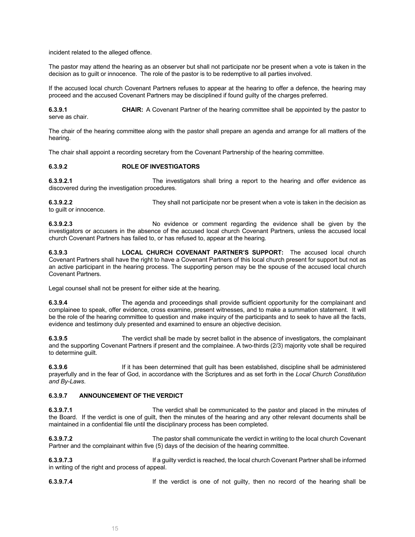incident related to the alleged offence.

The pastor may attend the hearing as an observer but shall not participate nor be present when a vote is taken in the decision as to guilt or innocence. The role of the pastor is to be redemptive to all parties involved.

If the accused local church Covenant Partners refuses to appear at the hearing to offer a defence, the hearing may proceed and the accused Covenant Partners may be disciplined if found guilty of the charges preferred.

**6.3.9.1 CHAIR:** A Covenant Partner of the hearing committee shall be appointed by the pastor to serve as chair.

The chair of the hearing committee along with the pastor shall prepare an agenda and arrange for all matters of the hearing.

The chair shall appoint a recording secretary from the Covenant Partnership of the hearing committee.

# **6.3.9.2 ROLE OF INVESTIGATORS**

**6.3.9.2.1** The investigators shall bring a report to the hearing and offer evidence as discovered during the investigation procedures.

**6.3.9.2.2** They shall not participate nor be present when a vote is taken in the decision as to guilt or innocence.

**6.3.9.2.3** No evidence or comment regarding the evidence shall be given by the investigators or accusers in the absence of the accused local church Covenant Partners, unless the accused local church Covenant Partners has failed to, or has refused to, appear at the hearing.

**6.3.9.3 LOCAL CHURCH COVENANT PARTNER'S SUPPORT:** The accused local church Covenant Partners shall have the right to have a Covenant Partners of this local church present for support but not as an active participant in the hearing process. The supporting person may be the spouse of the accused local church Covenant Partners.

Legal counsel shall not be present for either side at the hearing.

**6.3.9.4** The agenda and proceedings shall provide sufficient opportunity for the complainant and complainee to speak, offer evidence, cross examine, present witnesses, and to make a summation statement. It will be the role of the hearing committee to question and make inquiry of the participants and to seek to have all the facts, evidence and testimony duly presented and examined to ensure an objective decision.

**6.3.9.5** The verdict shall be made by secret ballot in the absence of investigators, the complainant and the supporting Covenant Partners if present and the complainee. A two-thirds (2/3) majority vote shall be required to determine guilt.

**6.3.9.6** If it has been determined that guilt has been established, discipline shall be administered prayerfully and in the fear of God, in accordance with the Scriptures and as set forth in the *Local Church Constitution and By-Laws*.

# **6.3.9.7 ANNOUNCEMENT OF THE VERDICT**

**6.3.9.7.1** The verdict shall be communicated to the pastor and placed in the minutes of the Board. If the verdict is one of guilt, then the minutes of the hearing and any other relevant documents shall be maintained in a confidential file until the disciplinary process has been completed.

**6.3.9.7.2** The pastor shall communicate the verdict in writing to the local church Covenant Partner and the complainant within five (5) days of the decision of the hearing committee.

**6.3.9.7.3** If a guilty verdict is reached, the local church Covenant Partner shall be informed in writing of the right and process of appeal.

**6.3.9.7.4** If the verdict is one of not guilty, then no record of the hearing shall be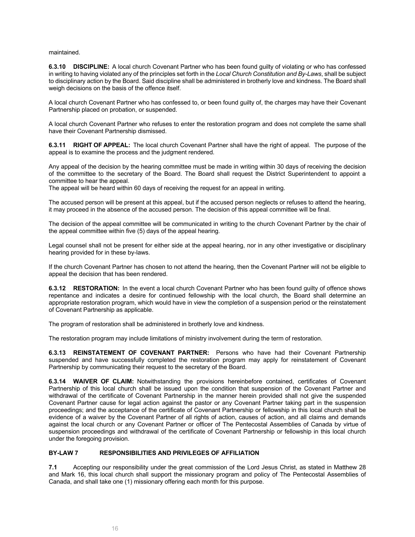## maintained.

**6.3.10 DISCIPLINE:** A local church Covenant Partner who has been found guilty of violating or who has confessed in writing to having violated any of the principles set forth in the *Local Church Constitution and By-Laws*, shall be subject to disciplinary action by the Board. Said discipline shall be administered in brotherly love and kindness. The Board shall weigh decisions on the basis of the offence itself.

A local church Covenant Partner who has confessed to, or been found guilty of, the charges may have their Covenant Partnership placed on probation, or suspended.

A local church Covenant Partner who refuses to enter the restoration program and does not complete the same shall have their Covenant Partnership dismissed.

**6.3.11 RIGHT OF APPEAL:** The local church Covenant Partner shall have the right of appeal. The purpose of the appeal is to examine the process and the judgment rendered.

Any appeal of the decision by the hearing committee must be made in writing within 30 days of receiving the decision of the committee to the secretary of the Board. The Board shall request the District Superintendent to appoint a committee to hear the appeal.

The appeal will be heard within 60 days of receiving the request for an appeal in writing.

The accused person will be present at this appeal, but if the accused person neglects or refuses to attend the hearing, it may proceed in the absence of the accused person. The decision of this appeal committee will be final.

The decision of the appeal committee will be communicated in writing to the church Covenant Partner by the chair of the appeal committee within five (5) days of the appeal hearing.

Legal counsel shall not be present for either side at the appeal hearing, nor in any other investigative or disciplinary hearing provided for in these by-laws.

If the church Covenant Partner has chosen to not attend the hearing, then the Covenant Partner will not be eligible to appeal the decision that has been rendered.

**6.3.12 RESTORATION:** In the event a local church Covenant Partner who has been found guilty of offence shows repentance and indicates a desire for continued fellowship with the local church, the Board shall determine an appropriate restoration program, which would have in view the completion of a suspension period or the reinstatement of Covenant Partnership as applicable.

The program of restoration shall be administered in brotherly love and kindness.

The restoration program may include limitations of ministry involvement during the term of restoration.

**6.3.13 REINSTATEMENT OF COVENANT PARTNER:** Persons who have had their Covenant Partnership suspended and have successfully completed the restoration program may apply for reinstatement of Covenant Partnership by communicating their request to the secretary of the Board.

**6.3.14 WAIVER OF CLAIM:** Notwithstanding the provisions hereinbefore contained, certificates of Covenant Partnership of this local church shall be issued upon the condition that suspension of the Covenant Partner and withdrawal of the certificate of Covenant Partnership in the manner herein provided shall not give the suspended Covenant Partner cause for legal action against the pastor or any Covenant Partner taking part in the suspension proceedings; and the acceptance of the certificate of Covenant Partnership or fellowship in this local church shall be evidence of a waiver by the Covenant Partner of all rights of action, causes of action, and all claims and demands against the local church or any Covenant Partner or officer of The Pentecostal Assemblies of Canada by virtue of suspension proceedings and withdrawal of the certificate of Covenant Partnership or fellowship in this local church under the foregoing provision.

# **BY-LAW 7 RESPONSIBILITIES AND PRIVILEGES OF AFFILIATION**

**7.1** Accepting our responsibility under the great commission of the Lord Jesus Christ, as stated in Matthew 28 and Mark 16, this local church shall support the missionary program and policy of The Pentecostal Assemblies of Canada, and shall take one (1) missionary offering each month for this purpose.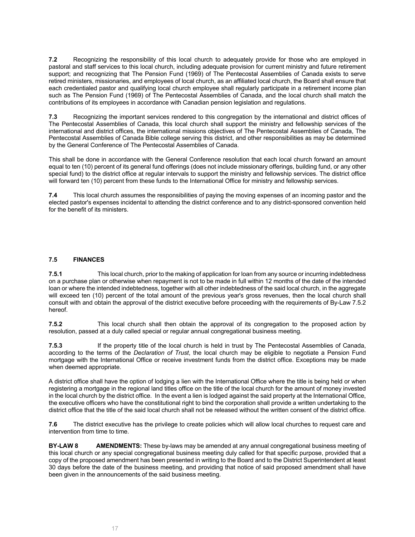**7.2** Recognizing the responsibility of this local church to adequately provide for those who are employed in pastoral and staff services to this local church, including adequate provision for current ministry and future retirement support; and recognizing that The Pension Fund (1969) of The Pentecostal Assemblies of Canada exists to serve retired ministers, missionaries, and employees of local church, as an affiliated local church, the Board shall ensure that each credentialed pastor and qualifying local church employee shall regularly participate in a retirement income plan such as The Pension Fund (1969) of The Pentecostal Assemblies of Canada, and the local church shall match the contributions of its employees in accordance with Canadian pension legislation and regulations.

**7.3** Recognizing the important services rendered to this congregation by the international and district offices of The Pentecostal Assemblies of Canada, this local church shall support the ministry and fellowship services of the international and district offices, the international missions objectives of The Pentecostal Assemblies of Canada, The Pentecostal Assemblies of Canada Bible college serving this district, and other responsibilities as may be determined by the General Conference of The Pentecostal Assemblies of Canada.

This shall be done in accordance with the General Conference resolution that each local church forward an amount equal to ten (10) percent of its general fund offerings (does not include missionary offerings, building fund, or any other special fund) to the district office at regular intervals to support the ministry and fellowship services. The district office will forward ten (10) percent from these funds to the International Office for ministry and fellowship services.

**7.4** This local church assumes the responsibilities of paying the moving expenses of an incoming pastor and the elected pastor's expenses incidental to attending the district conference and to any district-sponsored convention held for the benefit of its ministers.

# **7.5 FINANCES**

**7.5.1** This local church, prior to the making of application for loan from any source or incurring indebtedness on a purchase plan or otherwise when repayment is not to be made in full within 12 months of the date of the intended loan or where the intended indebtedness, together with all other indebtedness of the said local church, in the aggregate will exceed ten (10) percent of the total amount of the previous year's gross revenues, then the local church shall consult with and obtain the approval of the district executive before proceeding with the requirements of By-Law 7.5.2 hereof.

**7.5.2** This local church shall then obtain the approval of its congregation to the proposed action by resolution, passed at a duly called special or regular annual congregational business meeting.

**7.5.3** If the property title of the local church is held in trust by The Pentecostal Assemblies of Canada, according to the terms of the *Declaration of Trust*, the local church may be eligible to negotiate a Pension Fund mortgage with the International Office or receive investment funds from the district office. Exceptions may be made when deemed appropriate.

A district office shall have the option of lodging a lien with the International Office where the title is being held or when registering a mortgage in the regional land titles office on the title of the local church for the amount of money invested in the local church by the district office. In the event a lien is lodged against the said property at the International Office, the executive officers who have the constitutional right to bind the corporation shall provide a written undertaking to the district office that the title of the said local church shall not be released without the written consent of the district office.

**7.6** The district executive has the privilege to create policies which will allow local churches to request care and intervention from time to time.

**BY-LAW 8 AMENDMENTS:** These by-laws may be amended at any annual congregational business meeting of this local church or any special congregational business meeting duly called for that specific purpose, provided that a copy of the proposed amendment has been presented in writing to the Board and to the District Superintendent at least 30 days before the date of the business meeting, and providing that notice of said proposed amendment shall have been given in the announcements of the said business meeting.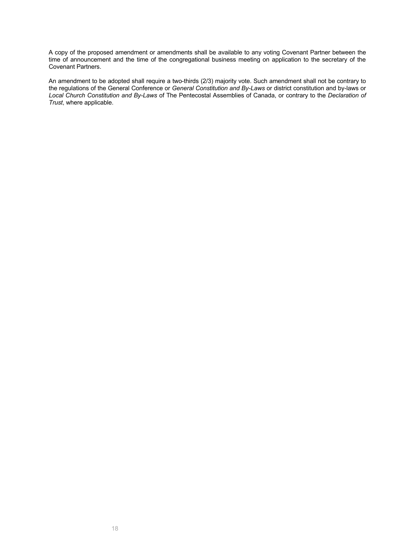A copy of the proposed amendment or amendments shall be available to any voting Covenant Partner between the time of announcement and the time of the congregational business meeting on application to the secretary of the Covenant Partners.

An amendment to be adopted shall require a two-thirds (2/3) majority vote. Such amendment shall not be contrary to the regulations of the General Conference or *General Constitution and By-Laws* or district constitution and by-laws or *Local Church Constitution and By-Laws* of The Pentecostal Assemblies of Canada, or contrary to the *Declaration of Trust*, where applicable.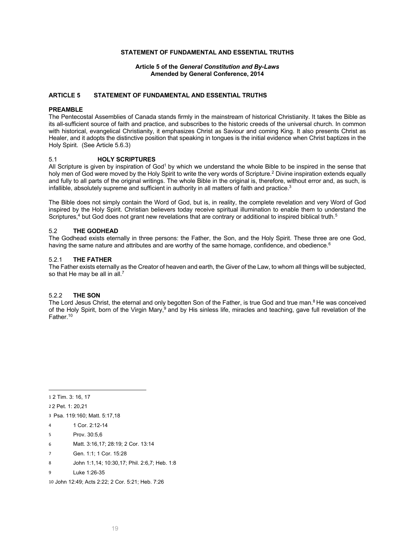# **STATEMENT OF FUNDAMENTAL AND ESSENTIAL TRUTHS**

#### **Article 5 of the** *General Constitution and By-Laws* **Amended by General Conference, 2014**

#### **ARTICLE 5 STATEMENT OF FUNDAMENTAL AND ESSENTIAL TRUTHS**

#### **PREAMBLE**

The Pentecostal Assemblies of Canada stands firmly in the mainstream of historical Christianity. It takes the Bible as its all-sufficient source of faith and practice, and subscribes to the historic creeds of the universal church. In common with historical, evangelical Christianity, it emphasizes Christ as Saviour and coming King. It also presents Christ as Healer, and it adopts the distinctive position that speaking in tongues is the initial evidence when Christ baptizes in the Holy Spirit. (See Article 5.6.3)

#### 5.1 **HOLY SCRIPTURES**

All Scripture is given by inspiration of God<sup>1</sup> by which we understand the whole Bible to be inspired in the sense that holy men of God were moved by the Holy Spirit to write the very words of Scripture.<sup>2</sup> Divine inspiration extends equally and fully to all parts of the original writings. The whole Bible in the original is, therefore, without error and, as such, is infallible, absolutely supreme and sufficient in authority in all matters of faith and practice. $3$ 

The Bible does not simply contain the Word of God, but is, in reality, the complete revelation and very Word of God inspired by the Holy Spirit. Christian believers today receive spiritual illumination to enable them to understand the Scriptures, $4$  but God does not grant new revelations that are contrary or additional to inspired biblical truth.<sup>5</sup>

# 5.2 **THE GODHEAD**

The Godhead exists eternally in three persons: the Father, the Son, and the Holy Spirit. These three are one God, having the same nature and attributes and are worthy of the same homage, confidence, and obedience.<sup>6</sup>

#### 5.2.1 **THE FATHER**

The Father exists eternally as the Creator of heaven and earth, the Giver of the Law, to whom all things will be subjected, so that He may be all in all.<sup>7</sup>

#### 5.2.2 **THE SON**

The Lord Jesus Christ, the eternal and only begotten Son of the Father, is true God and true man.<sup>8</sup> He was conceived of the Holy Spirit, born of the Virgin Mary,<sup>9</sup> and by His sinless life, miracles and teaching, gave full revelation of the Father.<sup>10</sup>

1 2 Tim. 3: 16, 17

2 2 Pet. 1: 20,21

3 Psa. 119:160; Matt. 5:17,18

- 4 1 Cor. 2:12-14
- 5 Prov. 30:5,6
- 6 Matt. 3:16,17; 28:19; 2 Cor. 13:14
- 7 Gen. 1:1; 1 Cor. 15:28
- 8 John 1:1,14; 10:30,17; Phil. 2:6,7; Heb. 1:8
- 9 Luke 1:26-35

10 John 12:49; Acts 2:22; 2 Cor. 5:21; Heb. 7:26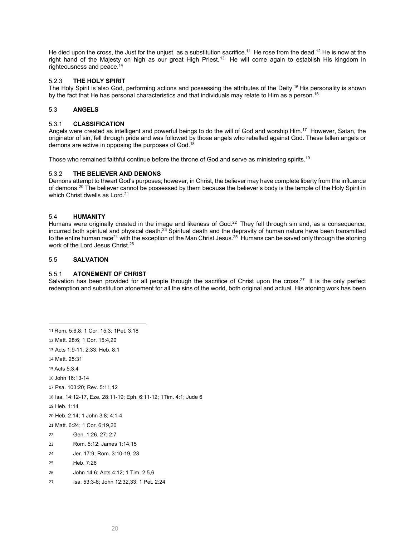He died upon the cross, the Just for the unjust, as a substitution sacrifice.<sup>11</sup> He rose from the dead.<sup>12</sup> He is now at the right hand of the Majesty on high as our great High Priest.<sup>13</sup> He will come again to establish His kingdom in righteousness and peace.<sup>14</sup>

# 5.2.3 **THE HOLY SPIRIT**

The Holy Spirit is also God, performing actions and possessing the attributes of the Deity.<sup>15</sup> His personality is shown by the fact that He has personal characteristics and that individuals may relate to Him as a person.<sup>16</sup>

# 5.3 **ANGELS**

# 5.3.1 **CLASSIFICATION**

Angels were created as intelligent and powerful beings to do the will of God and worship Him.<sup>17</sup> However, Satan, the originator of sin, fell through pride and was followed by those angels who rebelled against God. These fallen angels or demons are active in opposing the purposes of God.<sup>18</sup>

Those who remained faithful continue before the throne of God and serve as ministering spirits.<sup>19</sup>

# 5.3.2 **THE BELIEVER AND DEMONS**

Demons attempt to thwart God's purposes; however, in Christ, the believer may have complete liberty from the influence of demons.<sup>20</sup> The believer cannot be possessed by them because the believer's body is the temple of the Holy Spirit in which Christ dwells as Lord.<sup>21</sup>

# 5.4 **HUMANITY**

Humans were originally created in the image and likeness of God.<sup>22</sup> They fell through sin and, as a consequence, incurred both spiritual and physical death.<sup>23</sup> Spiritual death and the depravity of human nature have been transmitted to the entire human race<sup>24</sup> with the exception of the Man Christ Jesus.<sup>25</sup> Humans can be saved only through the atoning work of the Lord Jesus Christ.26

# 5.5 **SALVATION**

# 5.5.1 **ATONEMENT OF CHRIST**

Salvation has been provided for all people through the sacrifice of Christ upon the cross.<sup>27</sup> It is the only perfect redemption and substitution atonement for all the sins of the world, both original and actual. His atoning work has been

|                                                                  | 11 Rom. 5:6,8; 1 Cor. 15:3; 1 Pet. 3:18 |  |
|------------------------------------------------------------------|-----------------------------------------|--|
|                                                                  | 12 Matt. 28:6; 1 Cor. 15:4,20           |  |
|                                                                  | 13 Acts 1:9-11; 2:33; Heb. 8:1          |  |
| 14 Matt. 25:31                                                   |                                         |  |
| 15 Acts 5:3,4                                                    |                                         |  |
| 16 John 16:13-14                                                 |                                         |  |
| 17 Psa. 103:20; Rev. 5:11,12                                     |                                         |  |
| 18 Isa. 14:12-17, Eze. 28:11-19; Eph. 6:11-12; 1Tim. 4:1; Jude 6 |                                         |  |
| 19 Heb. 1:14                                                     |                                         |  |
| 20 Heb. 2:14; 1 John 3:8; 4:1-4                                  |                                         |  |
|                                                                  | 21 Matt. 6:24; 1 Cor. 6:19,20           |  |
| 22                                                               | Gen. 1:26, 27; 2:7                      |  |
| 23                                                               | Rom. 5:12; James 1:14,15                |  |
| 24                                                               | Jer. 17:9; Rom. 3:10-19, 23             |  |
| 25                                                               | Heb. 7:26                               |  |
| 26                                                               | John 14:6; Acts 4:12; 1 Tim. 2:5,6      |  |
| 27                                                               | Isa. 53:3-6; John 12:32,33; 1 Pet. 2:24 |  |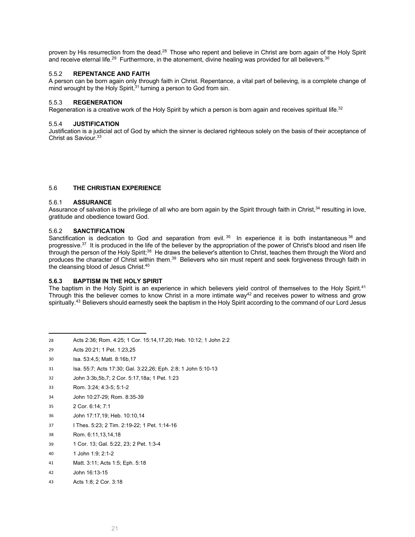proven by His resurrection from the dead.<sup>28</sup> Those who repent and believe in Christ are born again of the Holy Spirit and receive eternal life.<sup>29</sup> Furthermore, in the atonement, divine healing was provided for all believers.<sup>30</sup>

## 5.5.2 **REPENTANCE AND FAITH**

A person can be born again only through faith in Christ. Repentance, a vital part of believing, is a complete change of mind wrought by the Holy Spirit,<sup>31</sup> turning a person to God from sin.

#### 5.5.3 **REGENERATION**

Regeneration is a creative work of the Holy Spirit by which a person is born again and receives spiritual life.<sup>32</sup>

#### 5.5.4 **JUSTIFICATION**

Justification is a judicial act of God by which the sinner is declared righteous solely on the basis of their acceptance of Christ as Saviour.<sup>33</sup>

# 5.6 **THE CHRISTIAN EXPERIENCE**

#### 5.6.1 **ASSURANCE**

Assurance of salvation is the privilege of all who are born again by the Spirit through faith in Christ,<sup>34</sup> resulting in love, gratitude and obedience toward God.

# 5.6.2 **SANCTIFICATION**

Sanctification is dedication to God and separation from evil.<sup>35</sup> In experience it is both instantaneous<sup>36</sup> and progressive. $37$  It is produced in the life of the believer by the appropriation of the power of Christ's blood and risen life through the person of the Holy Spirit;<sup>38</sup> He draws the believer's attention to Christ, teaches them through the Word and produces the character of Christ within them.39 Believers who sin must repent and seek forgiveness through faith in the cleansing blood of Jesus Christ.<sup>40</sup>

# **5.6.3 BAPTISM IN THE HOLY SPIRIT**

The baptism in the Holy Spirit is an experience in which believers yield control of themselves to the Holy Spirit.<sup>41</sup> Through this the believer comes to know Christ in a more intimate way $4^2$  and receives power to witness and grow spiritually.<sup>43</sup> Believers should earnestly seek the baptism in the Holy Spirit according to the command of our Lord Jesus

- 30 Isa. 53:4,5; Matt. 8:16b,17
- 31 Isa. 55:7; Acts 17:30; Gal. 3:22,26; Eph. 2:8; 1 John 5:10-13
- 32 John 3:3b,5b,7; 2 Cor. 5:17,18a; 1 Pet. 1:23
- 33 Rom. 3:24; 4:3-5; 5:1-2
- 34 John 10:27-29; Rom. 8:35-39
- 35 2 Cor. 6:14; 7:1
- 36 John 17:17,19; Heb. 10:10,14
- 37 I Thes. 5:23; 2 Tim. 2:19-22; 1 Pet. 1:14-16
- 38 Rom. 6:11,13,14,18
- 39 1 Cor. 13; Gal. 5:22, 23; 2 Pet. 1:3-4
- 40  $1$  John  $1:9:2:1-2$
- 41 Matt. 3:11; Acts 1:5; Eph. 5:18
- 42 John 16:13-15
- 43 Acts 1:8; 2 Cor. 3:18

<sup>28</sup> Acts 2:36; Rom. 4:25; 1 Cor. 15:14,17,20; Heb. 10:12; 1 John 2:2

<sup>29</sup> Acts 20:21; 1 Pet. 1:23,25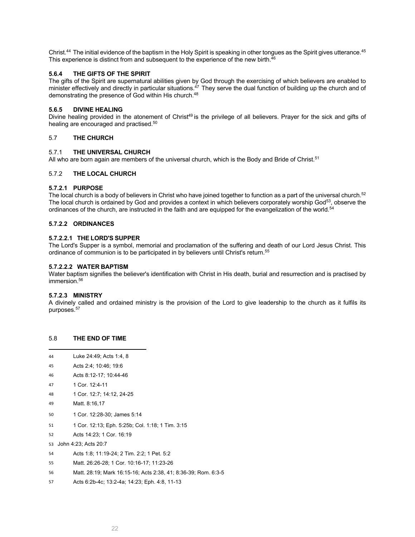Christ.<sup>44</sup> The initial evidence of the baptism in the Holy Spirit is speaking in other tongues as the Spirit gives utterance.<sup>45</sup> This experience is distinct from and subsequent to the experience of the new birth. $46$ 

# **5.6.4 THE GIFTS OF THE SPIRIT**

The gifts of the Spirit are supernatural abilities given by God through the exercising of which believers are enabled to minister effectively and directly in particular situations.<sup>47</sup> They serve the dual function of building up the church and of demonstrating the presence of God within His church.<sup>48</sup>

# **5.6.5 DIVINE HEALING**

Divine healing provided in the atonement of Christ<sup>49</sup> is the privilege of all believers. Prayer for the sick and gifts of healing are encouraged and practised.<sup>50</sup>

# 5.7 **THE CHURCH**

# 5.7.1 **THE UNIVERSAL CHURCH**

All who are born again are members of the universal church, which is the Body and Bride of Christ.<sup>51</sup>

# 5.7.2 **THE LOCAL CHURCH**

# **5.7.2.1 PURPOSE**

The local church is a body of believers in Christ who have joined together to function as a part of the universal church.<sup>52</sup> The local church is ordained by God and provides a context in which believers corporately worship God<sup>53</sup>, observe the ordinances of the church, are instructed in the faith and are equipped for the evangelization of the world.<sup>54</sup>

# **5.7.2.2 ORDINANCES**

# **5.7.2.2.1 THE LORD'S SUPPER**

The Lord's Supper is a symbol, memorial and proclamation of the suffering and death of our Lord Jesus Christ. This ordinance of communion is to be participated in by believers until Christ's return.55

#### **5.7.2.2.2 WATER BAPTISM**

Water baptism signifies the believer's identification with Christ in His death, burial and resurrection and is practised by immersion.<sup>56</sup>

# **5.7.2.3 MINISTRY**

A divinely called and ordained ministry is the provision of the Lord to give leadership to the church as it fulfils its purposes.<sup>57</sup>

#### 5.8 **THE END OF TIME**

- 44 Luke 24:49; Acts 1:4, 8
- 45 Acts 2:4; 10:46; 19:6
- 46 Acts 8:12-17; 10:44-46
- 47 1 Cor. 12:4-11
- 48 1 Cor. 12:7; 14:12, 24-25
- 49 Matt. 8:16,17
- 50 1 Cor. 12:28-30; James 5:14
- 51 1 Cor. 12:13; Eph. 5:25b; Col. 1:18; 1 Tim. 3:15
- 52 Acts 14:23; 1 Cor. 16:19
- 53 John 4:23; Acts 20:7
- 54 Acts 1:8; 11:19-24; 2 Tim. 2:2; 1 Pet. 5:2
- 55 Matt. 26:26-28; 1 Cor. 10:16-17; 11:23-26
- 56 Matt. 28:19; Mark 16:15-16; Acts 2:38, 41; 8:36-39; Rom. 6:3-5
- 57 Acts 6:2b-4c; 13:2-4a; 14:23; Eph. 4:8, 11-13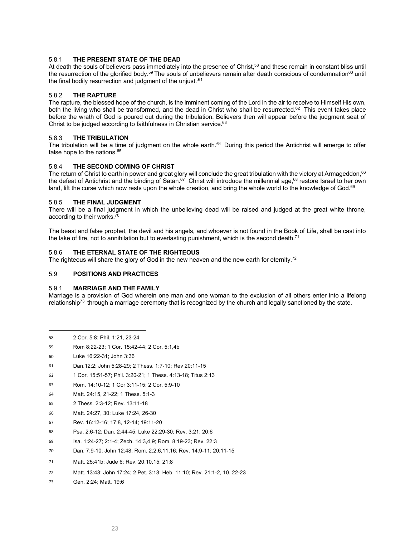# 5.8.1 **THE PRESENT STATE OF THE DEAD**

At death the souls of believers pass immediately into the presence of Christ,<sup>58</sup> and these remain in constant bliss until the resurrection of the glorified body.<sup>59</sup> The souls of unbelievers remain after death conscious of condemnation<sup>60</sup> until the final bodily resurrection and judgment of the unjust.<sup>61</sup>

# 5.8.2 **THE RAPTURE**

The rapture, the blessed hope of the church, is the imminent coming of the Lord in the air to receive to Himself His own, both the living who shall be transformed, and the dead in Christ who shall be resurrected.<sup>62</sup> This event takes place before the wrath of God is poured out during the tribulation. Believers then will appear before the judgment seat of Christ to be judged according to faithfulness in Christian service.<sup>63</sup>

# 5.8.3 **THE TRIBULATION**

The tribulation will be a time of judgment on the whole earth. $64$  During this period the Antichrist will emerge to offer false hope to the nations.<sup>65</sup>

# 5.8.4 **THE SECOND COMING OF CHRIST**

The return of Christ to earth in power and great glory will conclude the great tribulation with the victory at Armageddon,<sup>66</sup> the defeat of Antichrist and the binding of Satan.<sup>67</sup> Christ will introduce the millennial age,<sup>68</sup> restore Israel to her own land, lift the curse which now rests upon the whole creation, and bring the whole world to the knowledge of God.<sup>69</sup>

# 5.8.5 **THE FINAL JUDGMENT**

There will be a final judgment in which the unbelieving dead will be raised and judged at the great white throne, according to their works.70

The beast and false prophet, the devil and his angels, and whoever is not found in the Book of Life, shall be cast into the lake of fire, not to annihilation but to everlasting punishment, which is the second death.<sup>71</sup>

# 5.8.6 **THE ETERNAL STATE OF THE RIGHTEOUS**

The righteous will share the glory of God in the new heaven and the new earth for eternity.<sup>72</sup>

# 5.9 **POSITIONS AND PRACTICES**

# 5.9.1 **MARRIAGE AND THE FAMILY**

Marriage is a provision of God wherein one man and one woman to the exclusion of all others enter into a lifelong relationship<sup>73</sup> through a marriage ceremony that is recognized by the church and legally sanctioned by the state.

- 58 2 Cor. 5:8; Phil. 1:21, 23-24
- 59 Rom 8:22-23; 1 Cor. 15:42-44; 2 Cor. 5:1,4b

- 61 Dan.12:2; John 5:28-29; 2 Thess. 1:7-10; Rev 20:11-15
- 62 1 Cor. 15:51-57; Phil. 3:20-21; 1 Thess. 4:13-18; Titus 2:13
- 63 Rom. 14:10-12; 1 Cor 3:11-15; 2 Cor. 5:9-10
- 64 Matt. 24:15, 21-22; 1 Thess. 5:1-3
- 65 2 Thess. 2:3-12; Rev. 13:11-18
- 66 Matt. 24:27, 30; Luke 17:24, 26-30
- 67 Rev. 16:12-16; 17:8, 12-14; 19:11-20
- 68 Psa. 2:6-12; Dan. 2:44-45; Luke 22:29-30; Rev. 3:21; 20:6
- 69 Isa. 1:24-27; 2:1-4; Zech. 14:3,4,9; Rom. 8:19-23; Rev. 22:3
- 70 Dan. 7:9-10; John 12:48; Rom. 2:2,6,11,16; Rev. 14:9-11; 20:11-15
- 71 Matt. 25:41b; Jude 6; Rev. 20:10,15; 21:8
- 72 Matt. 13:43; John 17:24; 2 Pet. 3:13; Heb. 11:10; Rev. 21:1-2, 10, 22-23
- 73 Gen. 2:24; Matt. 19:6

<sup>60</sup> Luke 16:22-31; John 3:36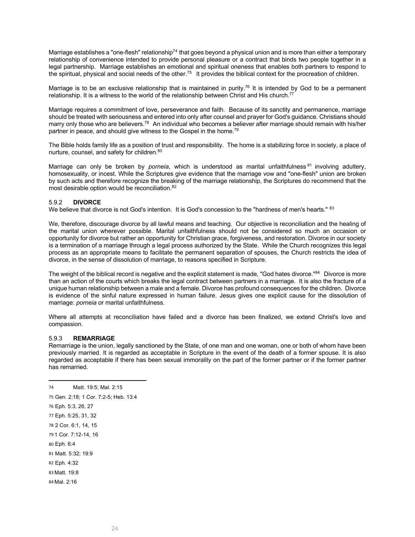Marriage establishes a "one-flesh" relationship<sup>74</sup> that goes beyond a physical union and is more than either a temporary relationship of convenience intended to provide personal pleasure or a contract that binds two people together in a legal partnership. Marriage establishes an emotional and spiritual oneness that enables both partners to respond to the spiritual, physical and social needs of the other.<sup>75</sup> It provides the biblical context for the procreation of children.

Marriage is to be an exclusive relationship that is maintained in purity.<sup>76</sup> It is intended by God to be a permanent relationship. It is a witness to the world of the relationship between Christ and His church.<sup>77</sup>

Marriage requires a commitment of love, perseverance and faith. Because of its sanctity and permanence, marriage should be treated with seriousness and entered into only after counsel and prayer for God's guidance. Christians should marry only those who are believers.<sup>78</sup> An individual who becomes a believer after marriage should remain with his/her partner in peace, and should give witness to the Gospel in the home.<sup>79</sup>

The Bible holds family life as a position of trust and responsibility. The home is a stabilizing force in society, a place of nurture, counsel, and safety for children.<sup>80</sup>

Marriage can only be broken by *porneia*, which is understood as marital unfaithfulness<sup>81</sup> involving adultery. homosexuality, or incest. While the Scriptures give evidence that the marriage vow and "one-flesh" union are broken by such acts and therefore recognize the breaking of the marriage relationship, the Scriptures do recommend that the most desirable option would be reconciliation.<sup>82</sup>

#### 5.9.2 **DIVORCE**

We believe that divorce is not God's intention. It is God's concession to the "hardness of men's hearts." 83

We, therefore, discourage divorce by all lawful means and teaching. Our objective is reconciliation and the healing of the marital union wherever possible. Marital unfaithfulness should not be considered so much an occasion or opportunity for divorce but rather an opportunity for Christian grace, forgiveness, and restoration. Divorce in our society is a termination of a marriage through a legal process authorized by the State. While the Church recognizes this legal process as an appropriate means to facilitate the permanent separation of spouses, the Church restricts the idea of divorce, in the sense of dissolution of marriage, to reasons specified in Scripture.

The weight of the biblical record is negative and the explicit statement is made. "God hates divorce."<sup>84</sup> Divorce is more than an action of the courts which breaks the legal contract between partners in a marriage. It is also the fracture of a unique human relationship between a male and a female. Divorce has profound consequences for the children. Divorce is evidence of the sinful nature expressed in human failure. Jesus gives one explicit cause for the dissolution of marriage: *porneia* or marital unfaithfulness.

Where all attempts at reconciliation have failed and a divorce has been finalized, we extend Christ's love and compassion.

#### 5.9.3 **REMARRIAGE**

Remarriage is the union, legally sanctioned by the State, of one man and one woman, one or both of whom have been previously married. It is regarded as acceptable in Scripture in the event of the death of a former spouse. It is also regarded as acceptable if there has been sexual immorality on the part of the former partner or if the former partner has remarried.

 Matt. 19:5; Mal. 2:15 Gen. 2:18; 1 Cor. 7:2-5; Heb. 13:4 Eph. 5:3, 26, 27 Eph. 5:25, 31, 32 2 Cor. 6:1, 14, 15 1 Cor. 7:12-14, 16 80 Eph. 6:4 Matt. 5:32; 19:9 Eph. 4:32 Matt. 19:8 84 Mal. 2:16